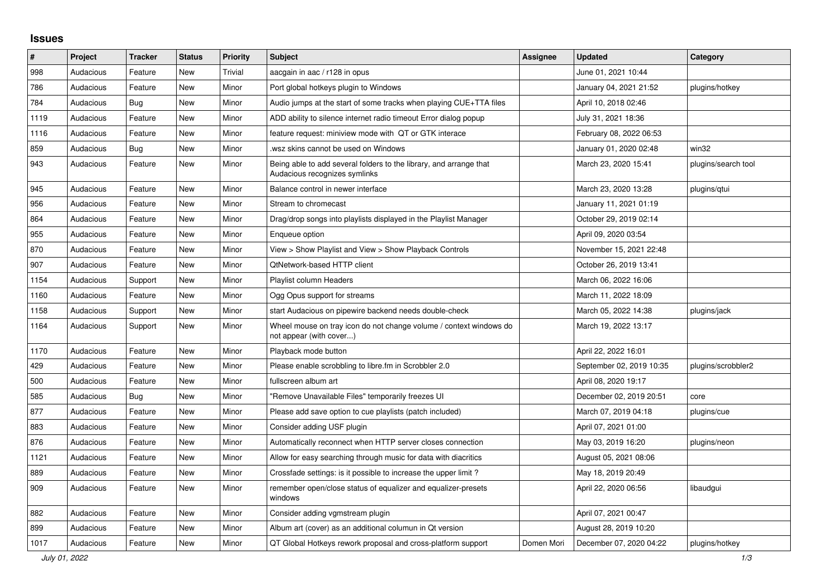## **Issues**

| ∦    | Project   | <b>Tracker</b> | <b>Status</b> | <b>Priority</b> | Subject                                                                                             | <b>Assignee</b> | <b>Updated</b>           | Category            |
|------|-----------|----------------|---------------|-----------------|-----------------------------------------------------------------------------------------------------|-----------------|--------------------------|---------------------|
| 998  | Audacious | Feature        | New           | <b>Trivial</b>  | aacgain in aac / r128 in opus                                                                       |                 | June 01, 2021 10:44      |                     |
| 786  | Audacious | Feature        | <b>New</b>    | Minor           | Port global hotkeys plugin to Windows                                                               |                 | January 04, 2021 21:52   | plugins/hotkey      |
| 784  | Audacious | <b>Bug</b>     | New           | Minor           | Audio jumps at the start of some tracks when playing CUE+TTA files                                  |                 | April 10, 2018 02:46     |                     |
| 1119 | Audacious | Feature        | New           | Minor           | ADD ability to silence internet radio timeout Error dialog popup                                    |                 | July 31, 2021 18:36      |                     |
| 1116 | Audacious | Feature        | <b>New</b>    | Minor           | feature request: miniview mode with QT or GTK interace                                              |                 | February 08, 2022 06:53  |                     |
| 859  | Audacious | <b>Bug</b>     | <b>New</b>    | Minor           | .wsz skins cannot be used on Windows                                                                |                 | January 01, 2020 02:48   | win32               |
| 943  | Audacious | Feature        | New           | Minor           | Being able to add several folders to the library, and arrange that<br>Audacious recognizes symlinks |                 | March 23, 2020 15:41     | plugins/search tool |
| 945  | Audacious | Feature        | New           | Minor           | Balance control in newer interface                                                                  |                 | March 23, 2020 13:28     | plugins/gtui        |
| 956  | Audacious | Feature        | New           | Minor           | Stream to chromecast                                                                                |                 | January 11, 2021 01:19   |                     |
| 864  | Audacious | Feature        | New           | Minor           | Drag/drop songs into playlists displayed in the Playlist Manager                                    |                 | October 29, 2019 02:14   |                     |
| 955  | Audacious | Feature        | <b>New</b>    | Minor           | Enqueue option                                                                                      |                 | April 09, 2020 03:54     |                     |
| 870  | Audacious | Feature        | <b>New</b>    | Minor           | View > Show Playlist and View > Show Playback Controls                                              |                 | November 15, 2021 22:48  |                     |
| 907  | Audacious | Feature        | New           | Minor           | <b>QtNetwork-based HTTP client</b>                                                                  |                 | October 26, 2019 13:41   |                     |
| 1154 | Audacious | Support        | <b>New</b>    | Minor           | Playlist column Headers                                                                             |                 | March 06, 2022 16:06     |                     |
| 1160 | Audacious | Feature        | New           | Minor           | Ogg Opus support for streams                                                                        |                 | March 11, 2022 18:09     |                     |
| 1158 | Audacious | Support        | New           | Minor           | start Audacious on pipewire backend needs double-check                                              |                 | March 05, 2022 14:38     | plugins/jack        |
| 1164 | Audacious | Support        | New           | Minor           | Wheel mouse on tray icon do not change volume / context windows do<br>not appear (with cover)       |                 | March 19, 2022 13:17     |                     |
| 1170 | Audacious | Feature        | <b>New</b>    | Minor           | Playback mode button                                                                                |                 | April 22, 2022 16:01     |                     |
| 429  | Audacious | Feature        | <b>New</b>    | Minor           | Please enable scrobbling to libre.fm in Scrobbler 2.0                                               |                 | September 02, 2019 10:35 | plugins/scrobbler2  |
| 500  | Audacious | Feature        | <b>New</b>    | Minor           | fullscreen album art                                                                                |                 | April 08, 2020 19:17     |                     |
| 585  | Audacious | Bug            | <b>New</b>    | Minor           | "Remove Unavailable Files" temporarily freezes UI                                                   |                 | December 02, 2019 20:51  | core                |
| 877  | Audacious | Feature        | <b>New</b>    | Minor           | Please add save option to cue playlists (patch included)                                            |                 | March 07, 2019 04:18     | plugins/cue         |
| 883  | Audacious | Feature        | New           | Minor           | Consider adding USF plugin                                                                          |                 | April 07, 2021 01:00     |                     |
| 876  | Audacious | Feature        | <b>New</b>    | Minor           | Automatically reconnect when HTTP server closes connection                                          |                 | May 03, 2019 16:20       | plugins/neon        |
| 1121 | Audacious | Feature        | New           | Minor           | Allow for easy searching through music for data with diacritics                                     |                 | August 05, 2021 08:06    |                     |
| 889  | Audacious | Feature        | New           | Minor           | Crossfade settings: is it possible to increase the upper limit?                                     |                 | May 18, 2019 20:49       |                     |
| 909  | Audacious | Feature        | New           | Minor           | remember open/close status of equalizer and equalizer-presets<br>windows                            |                 | April 22, 2020 06:56     | libaudgui           |
| 882  | Audacious | Feature        | New           | Minor           | Consider adding vgmstream plugin                                                                    |                 | April 07, 2021 00:47     |                     |
| 899  | Audacious | Feature        | New           | Minor           | Album art (cover) as an additional columun in Qt version                                            |                 | August 28, 2019 10:20    |                     |
| 1017 | Audacious | Feature        | <b>New</b>    | Minor           | QT Global Hotkeys rework proposal and cross-platform support                                        | Domen Mori      | December 07, 2020 04:22  | plugins/hotkey      |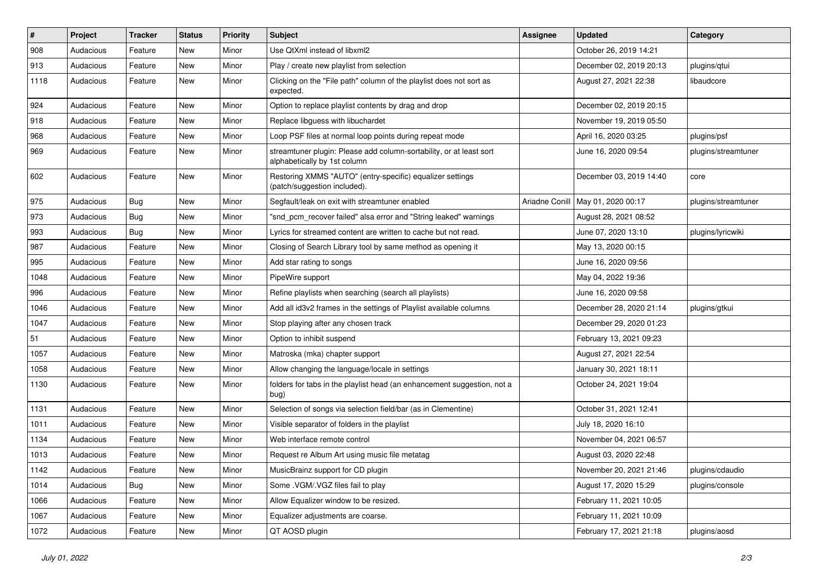| $\#$ | Project   | <b>Tracker</b> | <b>Status</b> | <b>Priority</b> | <b>Subject</b>                                                                                      | <b>Assignee</b> | <b>Updated</b>                      | Category            |
|------|-----------|----------------|---------------|-----------------|-----------------------------------------------------------------------------------------------------|-----------------|-------------------------------------|---------------------|
| 908  | Audacious | Feature        | New           | Minor           | Use QtXml instead of libxml2                                                                        |                 | October 26, 2019 14:21              |                     |
| 913  | Audacious | Feature        | New           | Minor           | Play / create new playlist from selection                                                           |                 | December 02, 2019 20:13             | plugins/qtui        |
| 1118 | Audacious | Feature        | New           | Minor           | Clicking on the "File path" column of the playlist does not sort as<br>expected.                    |                 | August 27, 2021 22:38               | libaudcore          |
| 924  | Audacious | Feature        | New           | Minor           | Option to replace playlist contents by drag and drop                                                |                 | December 02, 2019 20:15             |                     |
| 918  | Audacious | Feature        | New           | Minor           | Replace libguess with libuchardet                                                                   |                 | November 19, 2019 05:50             |                     |
| 968  | Audacious | Feature        | New           | Minor           | Loop PSF files at normal loop points during repeat mode                                             |                 | April 16, 2020 03:25                | plugins/psf         |
| 969  | Audacious | Feature        | New           | Minor           | streamtuner plugin: Please add column-sortability, or at least sort<br>alphabetically by 1st column |                 | June 16, 2020 09:54                 | plugins/streamtuner |
| 602  | Audacious | Feature        | New           | Minor           | Restoring XMMS "AUTO" (entry-specific) equalizer settings<br>(patch/suggestion included).           |                 | December 03, 2019 14:40             | core                |
| 975  | Audacious | Bug            | New           | Minor           | Segfault/leak on exit with streamtuner enabled                                                      |                 | Ariadne Conill   May 01, 2020 00:17 | plugins/streamtuner |
| 973  | Audacious | <b>Bug</b>     | New           | Minor           | "snd_pcm_recover failed" alsa error and "String leaked" warnings                                    |                 | August 28, 2021 08:52               |                     |
| 993  | Audacious | Bug            | New           | Minor           | Lyrics for streamed content are written to cache but not read.                                      |                 | June 07, 2020 13:10                 | plugins/lyricwiki   |
| 987  | Audacious | Feature        | New           | Minor           | Closing of Search Library tool by same method as opening it                                         |                 | May 13, 2020 00:15                  |                     |
| 995  | Audacious | Feature        | New           | Minor           | Add star rating to songs                                                                            |                 | June 16, 2020 09:56                 |                     |
| 1048 | Audacious | Feature        | New           | Minor           | PipeWire support                                                                                    |                 | May 04, 2022 19:36                  |                     |
| 996  | Audacious | Feature        | New           | Minor           | Refine playlists when searching (search all playlists)                                              |                 | June 16, 2020 09:58                 |                     |
| 1046 | Audacious | Feature        | New           | Minor           | Add all id3v2 frames in the settings of Playlist available columns                                  |                 | December 28, 2020 21:14             | plugins/gtkui       |
| 1047 | Audacious | Feature        | New           | Minor           | Stop playing after any chosen track                                                                 |                 | December 29, 2020 01:23             |                     |
| 51   | Audacious | Feature        | New           | Minor           | Option to inhibit suspend                                                                           |                 | February 13, 2021 09:23             |                     |
| 1057 | Audacious | Feature        | New           | Minor           | Matroska (mka) chapter support                                                                      |                 | August 27, 2021 22:54               |                     |
| 1058 | Audacious | Feature        | New           | Minor           | Allow changing the language/locale in settings                                                      |                 | January 30, 2021 18:11              |                     |
| 1130 | Audacious | Feature        | New           | Minor           | folders for tabs in the playlist head (an enhancement suggestion, not a<br>bug)                     |                 | October 24, 2021 19:04              |                     |
| 1131 | Audacious | Feature        | New           | Minor           | Selection of songs via selection field/bar (as in Clementine)                                       |                 | October 31, 2021 12:41              |                     |
| 1011 | Audacious | Feature        | New           | Minor           | Visible separator of folders in the playlist                                                        |                 | July 18, 2020 16:10                 |                     |
| 1134 | Audacious | Feature        | New           | Minor           | Web interface remote control                                                                        |                 | November 04, 2021 06:57             |                     |
| 1013 | Audacious | Feature        | New           | Minor           | Request re Album Art using music file metatag                                                       |                 | August 03, 2020 22:48               |                     |
| 1142 | Audacious | Feature        | New           | Minor           | MusicBrainz support for CD plugin                                                                   |                 | November 20, 2021 21:46             | plugins/cdaudio     |
| 1014 | Audacious | <b>Bug</b>     | New           | Minor           | Some .VGM/.VGZ files fail to play                                                                   |                 | August 17, 2020 15:29               | plugins/console     |
| 1066 | Audacious | Feature        | New           | Minor           | Allow Equalizer window to be resized.                                                               |                 | February 11, 2021 10:05             |                     |
| 1067 | Audacious | Feature        | New           | Minor           | Equalizer adjustments are coarse.                                                                   |                 | February 11, 2021 10:09             |                     |
| 1072 | Audacious | Feature        | New           | Minor           | QT AOSD plugin                                                                                      |                 | February 17, 2021 21:18             | plugins/aosd        |